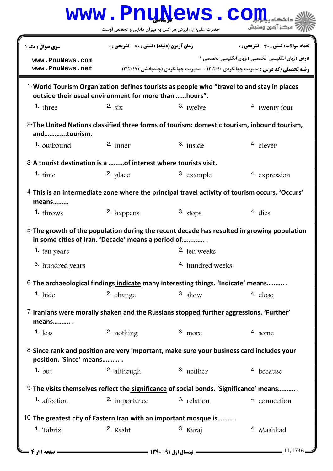|                                                                                                           | www.PnuNews.co                                        |                                  |                                                                                                                                                      |
|-----------------------------------------------------------------------------------------------------------|-------------------------------------------------------|----------------------------------|------------------------------------------------------------------------------------------------------------------------------------------------------|
|                                                                                                           | حضرت علی(ع): ارزش هر کس به میزان دانایی و تخصص اوست   |                                  | مركز آزمون وسنجش                                                                                                                                     |
| سری سوال : یک ۱                                                                                           | <b>زمان آزمون (دقیقه) : تستی : 70 گشریحی : 0</b>      |                                  | تعداد سوالات : تستي : 30 ٪ تشريحي : 0                                                                                                                |
| www.PnuNews.com<br>www.PnuNews.net                                                                        |                                                       |                                  | <b>درس :</b> زبان انگلیسی  تخصصی ۱،زبان انگلیسی تخصصی ۱<br><b>رشته تحصیلی/کد درس :</b> مدیریت جهانگردی ۱۲۱۲۰۱۰ - ،مدیریت جهانگردی (چندبخشی ) ۱۲۱۲۰۱۷ |
| <sup>1</sup> -World Tourism Organization defines tourists as people who "travel to and stay in places     | outside their usual environment for more than hours". |                                  |                                                                                                                                                      |
| <b>1.</b> three                                                                                           | 2. $\sin$                                             | $3.$ twelve                      | 4. twenty four                                                                                                                                       |
| andtourism.                                                                                               |                                                       |                                  | 2-The United Nations classified three forms of tourism: domestic tourism, inbound tourism,                                                           |
| <b>1.</b> outbound                                                                                        | $2.$ inner                                            | 3. inside                        | 4. clever                                                                                                                                            |
| 3-A tourist destination is a of interest where tourists visit.                                            |                                                       |                                  |                                                                                                                                                      |
| $1.$ time                                                                                                 | 2. place                                              | 3. example                       | 4. expression                                                                                                                                        |
|                                                                                                           |                                                       |                                  | 4-This is an intermediate zone where the principal travel activity of tourism occurs. 'Occurs'                                                       |
|                                                                                                           |                                                       |                                  |                                                                                                                                                      |
| means<br>$1.$ throws                                                                                      | 2. happens                                            | 3. stops                         | 4. dies<br>5-The growth of the population during the recent decade has resulted in growing population                                                |
| <b>1.</b> ten years<br>3. hundred years                                                                   | in some cities of Iran. 'Decade' means a period of    | 2. ten weeks<br>4. hundred weeks |                                                                                                                                                      |
|                                                                                                           |                                                       |                                  |                                                                                                                                                      |
| 6-The archaeological findings indicate many interesting things. 'Indicate' means<br>$1.$ hide             | 2. change                                             | $3.$ show                        | 4. close                                                                                                                                             |
| 7-Iranians were morally shaken and the Russians stopped further aggressions. 'Further'<br>means           |                                                       |                                  |                                                                                                                                                      |
| $1.$ less                                                                                                 | $2.$ nothing                                          | $3.$ more                        | 4. some                                                                                                                                              |
| 8-Since rank and position are very important, make sure your business card includes your                  |                                                       |                                  |                                                                                                                                                      |
| position. 'Since' means<br>$1. \text{but}$                                                                | 2. although                                           | 3. neither                       | 4. because                                                                                                                                           |
|                                                                                                           |                                                       |                                  |                                                                                                                                                      |
| $9$ -The visits themselves reflect the significance of social bonds. 'Significance' means<br>1. affection | 2. importance                                         | 3. relation                      | 4. connection                                                                                                                                        |
| 10-The greatest city of Eastern Iran with an important mosque is                                          |                                                       |                                  |                                                                                                                                                      |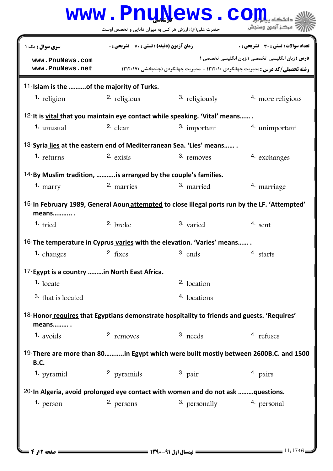|                                                                                                                 |                                                    | www.PnuNews.co                                      |                                                                                                                                                    |  |  |  |
|-----------------------------------------------------------------------------------------------------------------|----------------------------------------------------|-----------------------------------------------------|----------------------------------------------------------------------------------------------------------------------------------------------------|--|--|--|
|                                                                                                                 |                                                    | حضرت علی(ع): ارزش هر کس به میزان دانایی و تخصص اوست | ج <i>" مرڪ</i> ز آزمون وسنڊش                                                                                                                       |  |  |  |
| <b>سری سوال :</b> یک ۱                                                                                          | <b>زمان آزمون (دقیقه) : تستی : 70 ٪ تشریحی : 0</b> |                                                     | تعداد سوالات : تستى : 30 قشريحى : 0                                                                                                                |  |  |  |
| www.PnuNews.com<br>www.PnuNews.net                                                                              |                                                    |                                                     | <b>درس :</b> زبان انگلیسی تخصصی ا،زبان انگلیسی تخصصی ۱<br><b>رشته تحصیلی/کد درس :</b> مدیریت جهانگردی ۱۲۱۲۰۱۰ - ،مدیریت جهانگردی (چندبخشی )۱۲۱۲۰۱۷ |  |  |  |
| 11-Islam is the of the majority of Turks.                                                                       |                                                    |                                                     |                                                                                                                                                    |  |  |  |
| <sup>1</sup> religion                                                                                           | 2. religious                                       | 3. religiously                                      | 4 more religious                                                                                                                                   |  |  |  |
| 12-It is vital that you maintain eye contact while speaking. 'Vital' means                                      |                                                    |                                                     |                                                                                                                                                    |  |  |  |
| <b>1.</b> unusual                                                                                               | 2. $clear$                                         | 3. important                                        | <sup>4</sup> unimportant                                                                                                                           |  |  |  |
| 13-Syria lies at the eastern end of Mediterranean Sea. 'Lies' means                                             |                                                    |                                                     |                                                                                                                                                    |  |  |  |
| $1.$ returns                                                                                                    | $2.$ exists                                        | 3. removes                                          | 4. exchanges                                                                                                                                       |  |  |  |
| <sup>14-</sup> By Muslim tradition, is arranged by the couple's families.                                       |                                                    |                                                     |                                                                                                                                                    |  |  |  |
| $1.$ marry                                                                                                      | 2. marries                                         | 3. married                                          | <sup>4</sup> marriage                                                                                                                              |  |  |  |
| means                                                                                                           |                                                    |                                                     | <sup>15-</sup> In February 1989, General Aoun attempted to close illegal ports run by the LF. 'Attempted'                                          |  |  |  |
| <b>1.</b> tried                                                                                                 | 2. broke                                           | 3. varied                                           | $4.$ sent                                                                                                                                          |  |  |  |
| 16-The temperature in Cyprus varies with the elevation. 'Varies' means                                          |                                                    |                                                     |                                                                                                                                                    |  |  |  |
| 1. changes 2. fixes                                                                                             |                                                    | 3. ends                                             | 4. starts                                                                                                                                          |  |  |  |
| 17-Egypt is a country in North East Africa.                                                                     |                                                    |                                                     |                                                                                                                                                    |  |  |  |
| $1.$ locate                                                                                                     |                                                    | <sup>2</sup> location                               |                                                                                                                                                    |  |  |  |
| 3. that is located                                                                                              |                                                    | 4. locations                                        |                                                                                                                                                    |  |  |  |
| <sup>18-</sup> Honor requires that Egyptians demonstrate hospitality to friends and guests. 'Requires'<br>means |                                                    |                                                     |                                                                                                                                                    |  |  |  |
| $1.$ avoids                                                                                                     | 2. removes                                         | 3. needs                                            | 4. refuses                                                                                                                                         |  |  |  |
| <b>B.C.</b>                                                                                                     |                                                    |                                                     | 19-There are more than 80in Egypt which were built mostly between 2600B.C. and 1500                                                                |  |  |  |
| <b>1.</b> pyramid                                                                                               | 2. pyramids                                        | $3.$ pair                                           | 4. pairs                                                                                                                                           |  |  |  |
| 20-In Algeria, avoid prolonged eye contact with women and do not ask questions.                                 |                                                    |                                                     |                                                                                                                                                    |  |  |  |
| <b>1.</b> person                                                                                                | 2. persons                                         | 3. personally                                       | 4. personal                                                                                                                                        |  |  |  |
|                                                                                                                 |                                                    |                                                     |                                                                                                                                                    |  |  |  |
|                                                                                                                 |                                                    |                                                     |                                                                                                                                                    |  |  |  |
|                                                                                                                 |                                                    |                                                     |                                                                                                                                                    |  |  |  |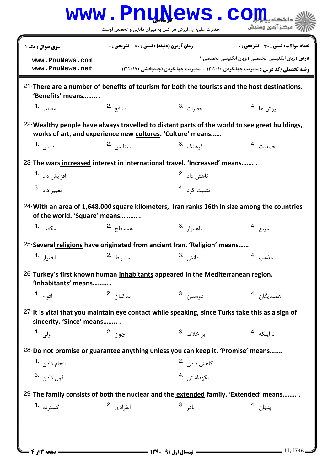|                                                                                                                             |                                                    | WWW.PnuNews.com                                            |                                                                                                                                                     |
|-----------------------------------------------------------------------------------------------------------------------------|----------------------------------------------------|------------------------------------------------------------|-----------------------------------------------------------------------------------------------------------------------------------------------------|
|                                                                                                                             |                                                    | حضرت علی(ع): ارزش هر کس به میزان دانایی و تخصص اوست        | ر آ مرڪز آزمون وسنڊش                                                                                                                                |
| <b>سری سوال :</b> یک ۱                                                                                                      | <b>زمان آزمون (دقیقه) : تستی : 70 ٪ تشریحی : 0</b> |                                                            | تعداد سوالات : تستى : 30 قشريحى : 0                                                                                                                 |
| www.PnuNews.com<br>www.PnuNews.net                                                                                          |                                                    |                                                            | <b>درس :</b> زبان انگلیسی تخصصی ۱،زبان انگلیسی تخصصی ۱<br><b>رشته تحصیلی/کد درس :</b> مدیریت جهانگردی ۱۲۱۲۰۱۰ - ،مدیریت جهانگردی (چندبخشی ) ۱۲۱۲۰۱۷ |
| $21$ -There are a number of <b>benefits</b> of tourism for both the tourists and the host destinations.<br>'Benefits' means |                                                    |                                                            |                                                                                                                                                     |
| معايب 1.                                                                                                                    | منافع 2.                                           | خطرات <sup>.3</sup>                                        | روش ها <sup>.4</sup>                                                                                                                                |
| 22-Wealthy people have always travelled to distant parts of the world to see great buildings,                               |                                                    | works of art, and experience new cultures. 'Culture' means |                                                                                                                                                     |
| دانش <b>1.</b>                                                                                                              | ستايش <sup>2</sup> ۰                               | فرهنگ <sup>.3</sup>                                        | جمعیت 4.                                                                                                                                            |
| 23-The wars increased interest in international travel. 'Increased' means                                                   |                                                    |                                                            |                                                                                                                                                     |
| افزایش داد <sup>-1</sup>                                                                                                    |                                                    | کاهش داد <sup>.2</sup>                                     |                                                                                                                                                     |
| 3. تغيير داد                                                                                                                |                                                    | تثبيت كرد <sup>.4</sup>                                    |                                                                                                                                                     |
| 24-With an area of 1,648,000 square kilometers, Iran ranks 16th in size among the countries<br>of the world. 'Square' means |                                                    |                                                            |                                                                                                                                                     |
| مكعب 1.                                                                                                                     | همسطح <sup>.2</sup>                                | ناهموا <sub>ر</sub> .3                                     | مربع <sup>.4</sup>                                                                                                                                  |
| 25-Several religions have originated from ancient Iran. 'Religion' means                                                    |                                                    |                                                            |                                                                                                                                                     |
| اختيار <b>1.</b>                                                                                                            | استنباط .2                                         | دانش <sup>3</sup> .                                        | مذهب .4                                                                                                                                             |
| 26-Turkey's first known human inhabitants appeared in the Mediterranean region.<br>'Inhabitants' means                      |                                                    |                                                            |                                                                                                                                                     |
| اقوام <b>-1</b>                                                                                                             | ساكنا <sub>ن</sub> 2.                              | دوستان <sup>3</sup> ۰                                      | همسايگان 4.                                                                                                                                         |
| 27-It is vital that you maintain eye contact while speaking, since Turks take this as a sign of<br>sincerity. 'Since' means |                                                    |                                                            |                                                                                                                                                     |
| ولی 1.                                                                                                                      | چون .2                                             | بر خلاف <sup>.3</sup>                                      | تا اينكه <sup>.4</sup>                                                                                                                              |
| 28-Do not promise or guarantee anything unless you can keep it. 'Promise' means                                             |                                                    |                                                            |                                                                                                                                                     |
| انجام دادن   • 1                                                                                                            |                                                    | كاهش داد <sub>ن</sub> 2.                                   |                                                                                                                                                     |
| 3. دادن 3.                                                                                                                  |                                                    | نگهداشتن .4                                                |                                                                                                                                                     |
| 29-The family consists of both the nuclear and the extended family. 'Extended' means                                        |                                                    |                                                            |                                                                                                                                                     |
| گسترده <sup>1</sup> ۰                                                                                                       | انفرادی <sup>.2</sup>                              | ناد <sub>ر</sub> .3                                        | پنهان <sup>.4</sup>                                                                                                                                 |
|                                                                                                                             |                                                    |                                                            |                                                                                                                                                     |
|                                                                                                                             |                                                    |                                                            |                                                                                                                                                     |
| <b>: صفحه 3 از 4 =</b>                                                                                                      |                                                    |                                                            | 11/1746                                                                                                                                             |